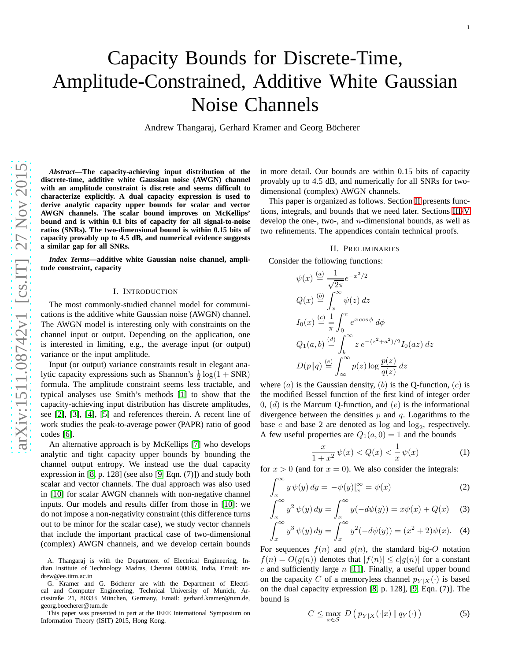# Capacity Bounds for Discrete-Time, Amplitude-Constrained, Additive White Gaussian Noise Channels

Andrew Thangaraj, Gerhard Kramer and Georg Böcherer

*Abstract***—The capacity-achieving input distribution of the discrete-time, additive white Gaussian noise (AWGN) channel with an amplitude constraint is discrete and seems difficult to characterize explicitly. A dual capacity expression is used to derive analytic capacity upper bounds for scalar and vector AWGN channels. The scalar bound improves on McKellips' bound and is within 0.1 bits of capacity for all signal-to-noise ratios (SNRs). The two-dimensional bound is within 0.15 bits of capacity provably up to 4.5 dB, and numerical evidence suggests a similar gap for all SNRs.**

*Index Terms***—additive white Gaussian noise channel, amplitude constraint, capacity**

# I. INTRODUCTION

The most commonly-studied channel model for communications is the additive white Gaussian noise (AWGN) channel. The AWGN model is interesting only with constraints on the channel input or output. Depending on the application, one is interested in limiting, e.g., the average input (or output) variance or the input amplitude.

Input (or output) variance constraints result in elegant analytic capacity expressions such as Shannon's  $\frac{1}{2} \log(1 + SNR)$ formula. The amplitude constraint seems less tractable, an d typical analyses use Smith's methods [\[1\]](#page-7-0) to show that the capacity-achieving input distribution has discrete amplitudes, see [\[2\]](#page-7-1), [\[3\]](#page-7-2), [\[4\]](#page-7-3), [\[5\]](#page-7-4) and references therein. A recent line o f work studies the peak-to-average power (PAPR) ratio of good codes [\[6\]](#page-7-5).

An alternative approach is by McKellips [\[7\]](#page-7-6) who develops analytic and tight capacity upper bounds by bounding the channel output entropy. We instead use the dual capacity expression in [\[8,](#page-7-7) p. 128] (see also [\[9,](#page-7-8) Eqn. (7)]) and study both scalar and vector channels. The dual approach was also used in [\[10\]](#page-7-9) for scalar AWGN channels with non-negative channel inputs. Our models and results differ from those in [\[10\]](#page-7-9): we do not impose a non-negativity constraint (this difference turns out to be minor for the scalar case), we study vector channels that include the important practical case of two-dimensional (complex) AWGN channels, and we develop certain bounds

This paper was presented in part at the IEEE International Symposium on Information Theory (ISIT) 2015, Hong Kong.

in more detail. Our bounds are within 0.15 bits of capacity provably up to 4.5 dB, and numerically for all SNRs for twodimensional (complex) AWGN channels.

This paper is organized as follows. Section [II](#page-0-0) presents func tions, integrals, and bounds that we need later. Sections [III](#page-1-0)[-V](#page-5-0) develop the one-, two-, and  $n$ -dimensional bounds, as well as two refinements. The appendices contain technical proofs.

# II. PRELIMINARIES

<span id="page-0-0"></span>Consider the following functions:

$$
\psi(x) \stackrel{(a)}{=} \frac{1}{\sqrt{2\pi}} e^{-x^2/2}
$$
  
\n
$$
Q(x) \stackrel{(b)}{=} \int_x^\infty \psi(z) dz
$$
  
\n
$$
I_0(x) \stackrel{(c)}{=} \frac{1}{\pi} \int_0^\pi e^{x \cos \phi} d\phi
$$
  
\n
$$
Q_1(a, b) \stackrel{(d)}{=} \int_b^\infty z e^{-(z^2 + a^2)/2} I_0(az) dz
$$
  
\n
$$
D(p||q) \stackrel{(e)}{=} \int_\infty^\infty p(z) \log \frac{p(z)}{q(z)} dz
$$

where  $(a)$  is the Gaussian density,  $(b)$  is the Q-function,  $(c)$  is the modified Bessel function of the first kind of integer order  $0, (d)$  is the Marcum Q-function, and  $(e)$  is the informational divergence between the densities  $p$  and  $q$ . Logarithms to the base  $e$  and base 2 are denoted as log and log<sub>2</sub>, respectively. A few useful properties are  $Q_1(a, 0) = 1$  and the bounds

<span id="page-0-4"></span><span id="page-0-3"></span><span id="page-0-2"></span>
$$
\frac{x}{1+x^2}\,\psi(x) < Q(x) < \frac{1}{x}\,\psi(x) \tag{1}
$$

for  $x > 0$  (and for  $x = 0$ ). We also consider the integrals:

$$
\int_{x}^{\infty} y \psi(y) dy = -\psi(y)|_{x}^{\infty} = \psi(x)
$$
 (2)

$$
\int_{x}^{\infty} y^2 \psi(y) dy = \int_{x}^{\infty} y(-d\psi(y)) = x\psi(x) + Q(x)
$$
 (3)

$$
\int_{x}^{\infty} y^{3} \psi(y) dy = \int_{x}^{\infty} y^{2} (-d\psi(y)) = (x^{2} + 2)\psi(x). \quad (4)
$$

For sequences  $f(n)$  and  $g(n)$ , the standard big-O notation  $f(n) = O(g(n))$  denotes that  $|f(n)| \le c|g(n)|$  for a constant  $c$  and sufficiently large  $n$  [\[11\]](#page-7-10). Finally, a useful upper bound on the capacity C of a memoryless channel  $p_{Y|X}(\cdot)$  is based on the dual capacity expression [\[8,](#page-7-7) p. 128], [\[9,](#page-7-8) Eqn. (7)]. Th e bound is

<span id="page-0-1"></span>
$$
C \leq \max_{x \in \mathcal{S}} D\left(p_{Y|X}(\cdot|x) \| q_Y(\cdot)\right) \tag{5}
$$

A. Thangaraj is with the Department of Electrical Engineering, Indian Institute of Technology Madras, Chennai 600036, India, Email: andrew@ee.iitm.ac.in

G. Kramer and G. Böcherer are with the Department of Electrical and Computer Engineering, Technical University of Munich, Arcisstraße 21, 80333 München, Germany, Email: gerhard.kramer@tum.de, georg.boecherer@tum.de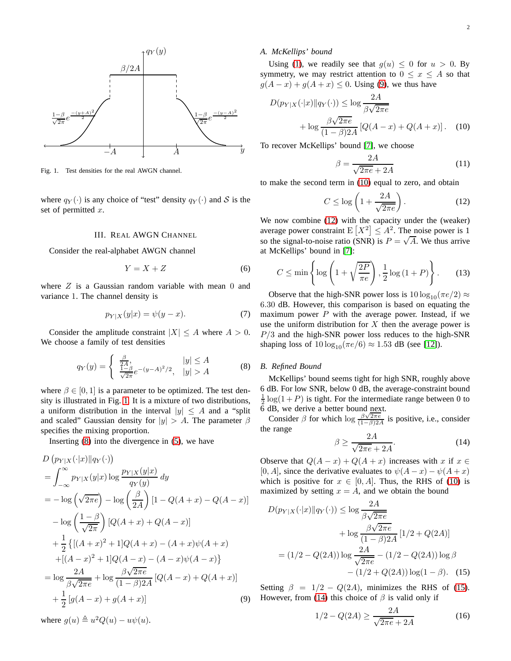

<span id="page-1-1"></span>Fig. 1. Test densities for the real AWGN channel.

<span id="page-1-0"></span>where  $q_Y(\cdot)$  is any choice of "test" density  $q_Y(\cdot)$  and S is the set of permitted x.

## III. REAL AWGN CHANNEL

Consider the real-alphabet AWGN channel

$$
Y = X + Z \tag{6}
$$

where  $Z$  is a Gaussian random variable with mean  $0$  and variance 1. The channel density is

$$
p_{Y|X}(y|x) = \psi(y-x). \tag{7}
$$

Consider the amplitude constraint  $|X| \le A$  where  $A > 0$ . We choose a family of test densities

$$
q_Y(y) = \begin{cases} \frac{\beta}{2A}, & |y| \le A\\ \frac{1-\beta}{\sqrt{2\pi}}e^{-(y-A)^2/2}, & |y| > A \end{cases}
$$
 (8)

where  $\beta \in [0, 1]$  is a parameter to be optimized. The test density is illustrated in Fig. [1.](#page-1-1) It is a mixture of two distributions, a uniform distribution in the interval  $|y| \leq A$  and a "split" and scaled" Gaussian density for  $|y| > A$ . The parameter  $\beta$ specifies the mixing proportion.

Inserting  $(8)$  into the divergence in  $(5)$ , we have

$$
D (p_{Y|X}(\cdot|x)||q_Y(\cdot))
$$
  
=  $\int_{-\infty}^{\infty} p_{Y|X}(y|x) \log \frac{p_{Y|X}(y|x)}{q_Y(y)} dy$   
=  $-\log (\sqrt{2\pi e}) - \log (\frac{\beta}{2A}) [1 - Q(A+x) - Q(A-x)]$   
 $- \log (\frac{1-\beta}{\sqrt{2\pi}}) [Q(A+x) + Q(A-x)]$   
+  $\frac{1}{2} \{[(A+x)^2 + 1]Q(A+x) - (A+x)\psi(A+x)$   
+  $[(A-x)^2 + 1]Q(A-x) - (A-x)\psi(A-x) \}$   
=  $\log \frac{2A}{\beta\sqrt{2\pi e}} + \log \frac{\beta\sqrt{2\pi e}}{(1-\beta)2A} [Q(A-x) + Q(A+x)]$   
+  $\frac{1}{2} [g(A-x) + g(A+x)]$  (9)

where  $g(u) \triangleq u^2 Q(u) - u\psi(u)$ .

## *A. McKellips' bound*

Using [\(1\)](#page-0-2), we readily see that  $g(u) \leq 0$  for  $u > 0$ . By symmetry, we may restrict attention to  $0 \le x \le A$  so that  $g(A-x) + g(A+x) \le 0$ . Using [\(9\)](#page-1-3), we thus have

$$
D(p_{Y|X}(\cdot|x)||q_Y(\cdot)) \le \log \frac{2A}{\beta\sqrt{2\pi e}}
$$
  
+ 
$$
\log \frac{\beta\sqrt{2\pi e}}{(1-\beta)2A} [Q(A-x) + Q(A+x)].
$$
 (10)

To recover McKellips' bound [\[7\]](#page-7-6), we choose

<span id="page-1-5"></span><span id="page-1-4"></span>
$$
\beta = \frac{2A}{\sqrt{2\pi e} + 2A} \tag{11}
$$

to make the second term in [\(10\)](#page-1-4) equal to zero, and obtain

$$
C \le \log\left(1 + \frac{2A}{\sqrt{2\pi e}}\right). \tag{12}
$$

We now combine [\(12\)](#page-1-5) with the capacity under the (weaker) average power constraint  $E[X^2] \leq A^2$ . The noise power is 1 so the signal-to-noise ratio (SNR) is  $P = \sqrt{A}$ . We thus arrive at McKellips' bound in [\[7\]](#page-7-6):

$$
C \le \min\left\{\log\left(1+\sqrt{\frac{2P}{\pi e}}\right), \frac{1}{2}\log\left(1+P\right)\right\}.
$$
 (13)

Observe that the high-SNR power loss is  $10 \log_{10}(\pi e/2) \approx$ 6.30 dB. However, this comparison is based on equating the maximum power  $P$  with the average power. Instead, if we use the uniform distribution for  $X$  then the average power is  $P/3$  and the high-SNR power loss reduces to the high-SNR shaping loss of  $10 \log_{10}(\pi e/6) \approx 1.53$  dB (see [\[12\]](#page-7-11)).

# <span id="page-1-2"></span>*B. Refined Bound*

McKellips' bound seems tight for high SNR, roughly above 6 dB. For low SNR, below 0 dB, the average-constraint bound  $\frac{1}{2}$  log(1+P) is tight. For the intermediate range between 0 to 6 dB, we derive a better bound next.

Consider  $\beta$  for which  $\log \frac{\beta \sqrt{2\pi e}}{(1-\beta)2A}$  is positive, i.e., consider the range

<span id="page-1-7"></span>
$$
\beta \ge \frac{2A}{\sqrt{2\pi e} + 2A}.\tag{14}
$$

Observe that  $Q(A-x) + Q(A+x)$  increases with x if  $x \in \mathbb{R}$ [0, A], since the derivative evaluates to  $\psi(A-x) - \psi(A+x)$ which is positive for  $x \in [0, A]$ . Thus, the RHS of [\(10\)](#page-1-4) is maximized by setting  $x = A$ , and we obtain the bound

$$
D(p_{Y|X}(\cdot|x)||q_Y(\cdot)) \le \log \frac{2A}{\beta\sqrt{2\pi e}}
$$
  
+  $\log \frac{\beta\sqrt{2\pi e}}{(1-\beta)2A} [1/2 + Q(2A)]$   
=  $(1/2 - Q(2A)) \log \frac{2A}{\sqrt{2\pi e}} - (1/2 - Q(2A)) \log \beta$   
-  $(1/2 + Q(2A)) \log(1 - \beta)$ . (15)

<span id="page-1-3"></span>Setting  $\beta = 1/2 - Q(2A)$ , minimizes the RHS of [\(15\)](#page-1-6). However, from [\(14\)](#page-1-7) this choice of  $\beta$  is valid only if

<span id="page-1-6"></span>
$$
1/2 - Q(2A) \ge \frac{2A}{\sqrt{2\pi e} + 2A} \tag{16}
$$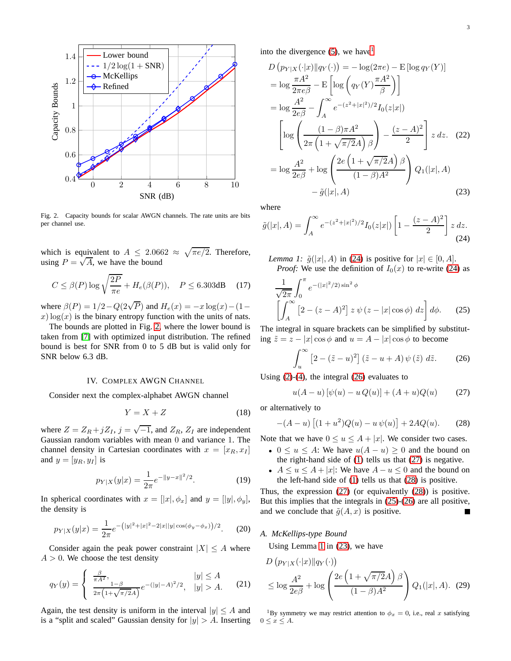

<span id="page-2-0"></span>Fig. 2. Capacity bounds for scalar AWGN channels. The rate units are bits per channel use.

which is equivalent to  $A \leq 2.0662 \approx \sqrt{\pi e/2}$ . Therefore, using  $P = \sqrt{A}$ , we have the bound

$$
C \le \beta(P) \log \sqrt{\frac{2P}{\pi e}} + H_e(\beta(P)), \quad P \le 6.303 \text{dB} \quad (17)
$$

where  $\beta(P) = 1/2 - Q(2\sqrt{P})$  and  $H_e(x) = -x \log(x) - (1$  $x) \log(x)$  is the binary entropy function with the units of nats.

The bounds are plotted in Fig. [2,](#page-2-0) where the lower bound is taken from [\[7\]](#page-7-6) with optimized input distribution. The refined bound is best for SNR from 0 to 5 dB but is valid only for SNR below 6.3 dB.

#### IV. COMPLEX AWGN CHANNEL

Consider next the complex-alphabet AWGN channel

$$
Y = X + Z \tag{18}
$$

where  $Z = Z_R + jZ_I$ ,  $j = \sqrt{-1}$ , and  $Z_R$ ,  $Z_I$  are independent Gaussian random variables with mean 0 and variance 1. The channel density in Cartesian coordinates with  $x = [x_R, x_I]$ and  $y = [y_R, y_I]$  is

$$
p_{Y|X}(y|x) = \frac{1}{2\pi}e^{-\|y-x\|^2/2}.
$$
 (19)

In spherical coordinates with  $x = [|x|, \phi_x]$  and  $y = [|y|, \phi_y]$ , the density is

$$
p_{Y|X}(y|x) = \frac{1}{2\pi}e^{-\left(|y|^2 + |x|^2 - 2|x||y|\cos(\phi_y - \phi_x)\right)/2}.\tag{20}
$$

Consider again the peak power constraint  $|X| \leq A$  where  $A > 0$ . We choose the test density

$$
q_Y(y) = \begin{cases} \frac{\beta}{\pi A^2}, & |y| \le A\\ \frac{1-\beta}{2\pi \left(1+\sqrt{\pi/2}A\right)} e^{-(|y|-A)^2/2}, & |y| > A. \end{cases} (21)
$$

Again, the test density is uniform in the interval  $|y| \leq A$  and is a "split and scaled" Gaussian density for  $|y| > A$ . Inserting into the divergence  $(5)$ , we have

<span id="page-2-9"></span>
$$
D (p_{Y|X}(\cdot|x)||q_{Y}(\cdot)) = -\log(2\pi e) - \text{E} [\log q_{Y}(Y)]
$$
  
\n
$$
= \log \frac{\pi A^2}{2\pi e \beta} - \text{E} \left[ \log \left( q_{Y}(Y) \frac{\pi A^2}{\beta} \right) \right]
$$
  
\n
$$
= \log \frac{A^2}{2e\beta} - \int_{A}^{\infty} e^{-(z^2 + |x|^2)/2} I_{0}(z|x|)
$$
  
\n
$$
\left[ \log \left( \frac{(1 - \beta)\pi A^2}{2\pi \left( 1 + \sqrt{\pi/2}A \right) \beta} \right) - \frac{(z - A)^2}{2} \right] z dz. (22)
$$
  
\n
$$
= \log \frac{A^2}{2e\beta} + \log \left( \frac{2e \left( 1 + \sqrt{\pi/2}A \right) \beta}{(1 - \beta)A^2} \right) Q_{1}(|x|, A)
$$
  
\n
$$
- \tilde{g}(|x|, A)
$$
 (23)

where

<span id="page-2-8"></span><span id="page-2-2"></span>
$$
\tilde{g}(|x|, A) = \int_{A}^{\infty} e^{-(z^2 + |x|^2)/2} I_0(z|x|) \left[1 - \frac{(z - A)^2}{2}\right] z \, dz.
$$
\n(24)

<span id="page-2-7"></span>*Lemma 1:*  $\tilde{g}(|x|, A)$  in [\(24\)](#page-2-2) is positive for  $|x| \in [0, A]$ . *Proof:* We use the definition of  $I_0(x)$  to re-write [\(24\)](#page-2-2) as

$$
\frac{1}{\sqrt{2\pi}} \int_0^{\pi} e^{-(|x|^2/2)\sin^2 \phi} \left[ \int_A^{\infty} \left[ 2 - (z - A)^2 \right] z \psi \left( z - |x| \cos \phi \right) dz \right] d\phi. \tag{25}
$$

The integral in square brackets can be simplified by substituting  $\tilde{z} = z - |x| \cos \phi$  and  $u = A - |x| \cos \phi$  to become

<span id="page-2-6"></span><span id="page-2-3"></span>
$$
\int_{u}^{\infty} \left[2 - (\tilde{z} - u)^2\right] (\tilde{z} - u + A) \psi(\tilde{z}) d\tilde{z}.
$$
 (26)

Using [\(2\)](#page-0-3)-[\(4\)](#page-0-4), the integral [\(26\)](#page-2-3) evaluates to

<span id="page-2-5"></span><span id="page-2-4"></span>
$$
u(A - u) [\psi(u) - u Q(u)] + (A + u)Q(u) \tag{27}
$$

or alternatively to

$$
-(A - u) [(1 + u2)Q(u) – u\psi(u)] + 2AQ(u).
$$
 (28)

Note that we have  $0 \le u \le A + |x|$ . We consider two cases.

- $0 \le u \le A$ : We have  $u(A u) \ge 0$  and the bound on the right-hand side of [\(1\)](#page-0-2) tells us that [\(27\)](#page-2-4) is negative.
- $A \le u \le A + |x|$ : We have  $A u \le 0$  and the bound on the left-hand side of [\(1\)](#page-0-2) tells us that [\(28\)](#page-2-5) is positive.

Thus, the expression [\(27\)](#page-2-4) (or equivalently [\(28\)](#page-2-5)) is positive. But this implies that the integrals in [\(25\)](#page-2-6)-[\(26\)](#page-2-3) are all positive, and we conclude that  $\tilde{q}(A, x)$  is positive.

## *A. McKellips-type Bound*

Using Lemma [1](#page-2-7) in [\(23\)](#page-2-8), we have

$$
D\left(p_{Y|X}(\cdot|x)\|q_{Y}(\cdot)\right)
$$
  
\n
$$
\leq \log \frac{A^2}{2e\beta} + \log \left(\frac{2e\left(1+\sqrt{\pi/2}A\right)\beta}{(1-\beta)A^2}\right) Q_1(|x|, A). (29)
$$

<span id="page-2-1"></span><sup>1</sup>By symmetry we may restrict attention to  $\phi_x = 0$ , i.e., real x satisfying  $0 \leq x \leq A$ .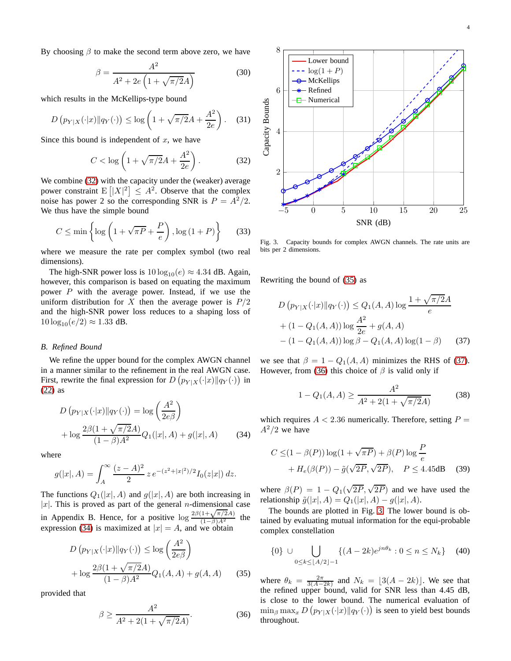By choosing  $\beta$  to make the second term above zero, we have

$$
\beta = \frac{A^2}{A^2 + 2e\left(1 + \sqrt{\pi/2}A\right)}
$$
(30)

which results in the McKellips-type bound

$$
D\left(p_{Y|X}(\cdot|x)\|q_Y(\cdot)\right) \le \log\left(1+\sqrt{\pi/2}A+\frac{A^2}{2e}\right). \quad (31)
$$

Since this bound is independent of  $x$ , we have

$$
C < \log\left(1 + \sqrt{\pi/2}A + \frac{A^2}{2e}\right).
$$
 (32)

We combine [\(32\)](#page-3-0) with the capacity under the (weaker) average power constraint  $E\left[|X|^2\right] \leq A^2$ . Observe that the complex noise has power 2 so the corresponding SNR is  $P = A^2/2$ . We thus have the simple bound

$$
C \le \min\left\{\log\left(1 + \sqrt{\pi P} + \frac{P}{e}\right), \log\left(1 + P\right)\right\} \tag{33}
$$

where we measure the rate per complex symbol (two real dimensions).

The high-SNR power loss is  $10 \log_{10}(e) \approx 4.34$  dB. Again, however, this comparison is based on equating the maximum power  $P$  with the average power. Instead, if we use the uniform distribution for X then the average power is  $P/2$ and the high-SNR power loss reduces to a shaping loss of  $10 \log_{10}(e/2) \approx 1.33$  dB.

# *B. Refined Bound*

We refine the upper bound for the complex AWGN channel in a manner similar to the refinement in the real AWGN case. First, rewrite the final expression for  $D(p_{Y|X}(\cdot|x)||q_Y(\cdot))$  in [\(22\)](#page-2-9) as

$$
D (p_{Y|X}(\cdot|x) \| q_Y(\cdot)) = \log \left(\frac{A^2}{2e\beta}\right) + \log \frac{2\beta(1 + \sqrt{\pi/2}A)}{(1 - \beta)A^2} Q_1(|x|, A) + g(|x|, A)
$$
(34)

where

$$
g(|x|, A) = \int_A^{\infty} \frac{(z - A)^2}{2} z e^{-(z^2 + |x|^2)/2} I_0(z|x|) dz.
$$

The functions  $Q_1(|x|, A)$  and  $g(|x|, A)$  are both increasing in |x|. This is proved as part of the general *n*-dimensional case in Appendix B. Hence, for a positive  $\log \frac{2\beta(1+\sqrt{\pi/2}A)}{(1-\beta)A^2}$  the expression [\(34\)](#page-3-1) is maximized at  $|x| = A$ , and we obtain

$$
D (p_{Y|X}(\cdot|x) \| q_Y(\cdot)) \le \log \left(\frac{A^2}{2e\beta}\right) + \log \frac{2\beta(1 + \sqrt{\pi/2}A)}{(1 - \beta)A^2} Q_1(A, A) + g(A, A)
$$
(35)

provided that

<span id="page-3-4"></span>
$$
\beta \ge \frac{A^2}{A^2 + 2(1 + \sqrt{\pi/2}A)}.\tag{36}
$$



<span id="page-3-5"></span><span id="page-3-0"></span>Fig. 3. Capacity bounds for complex AWGN channels. The rate units are bits per 2 dimensions.

Rewriting the bound of [\(35\)](#page-3-2) as

$$
D (p_{Y|X}(\cdot|x)||q_Y(\cdot)) \le Q_1(A, A) \log \frac{1 + \sqrt{\pi/2}A}{e}
$$
  
+  $(1 - Q_1(A, A)) \log \frac{A^2}{2e} + g(A, A)$   
-  $(1 - Q_1(A, A)) \log \beta - Q_1(A, A) \log(1 - \beta)$  (37)

we see that  $\beta = 1 - Q_1(A, A)$  minimizes the RHS of [\(37\)](#page-3-3). However, from [\(36\)](#page-3-4) this choice of  $\beta$  is valid only if

<span id="page-3-3"></span>
$$
1 - Q_1(A, A) \ge \frac{A^2}{A^2 + 2(1 + \sqrt{\pi/2}A)}\tag{38}
$$

<span id="page-3-1"></span>which requires  $A < 2.36$  numerically. Therefore, setting  $P =$  $A^2/2$  we have

$$
C \leq (1 - \beta(P)) \log(1 + \sqrt{\pi P}) + \beta(P) \log \frac{P}{e}
$$
  
+  $H_e(\beta(P)) - \tilde{g}(\sqrt{2P}, \sqrt{2P}), \quad P \leq 4.45 \text{dB}$  (39)

where  $\beta(P) = 1 - Q_1(\sqrt{2P}, \sqrt{2P})$  and we have used the relationship  $\tilde{g}(|x|, A) = Q_1(|x|, A) - g(|x|, A)$ .

The bounds are plotted in Fig. [3.](#page-3-5) The lower bound is obtained by evaluating mutual information for the equi-probable complex constellation

$$
\{0\} \cup \bigcup_{0 \le k \le \lfloor A/2 \rfloor - 1} \{ (A - 2k)e^{jn\theta_k} : 0 \le n \le N_k \} \quad (40)
$$

<span id="page-3-2"></span>where  $\theta_k = \frac{2\pi}{3(A-2k)}$  and  $N_k = \lfloor 3(A-2k) \rfloor$ . We see that the refined upper bound, valid for SNR less than 4.45 dB, is close to the lower bound. The numerical evaluation of  $\min_{\beta} \max_x D(p_{Y|X}(\cdot|x) \| q_Y(\cdot))$  is seen to yield best bounds throughout.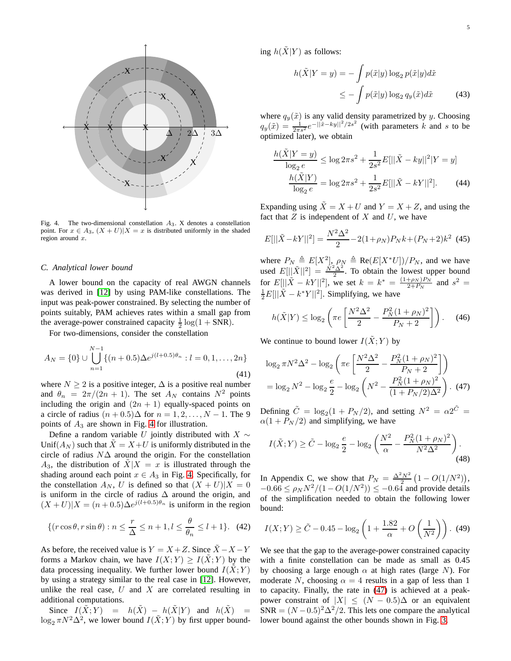

<span id="page-4-0"></span>Fig. 4. The two-dimensional constellation  $A_3$ . X denotes a constellation point. For  $x \in A_3$ ,  $(X + U)|X = x$  is distributed uniformly in the shaded region around  $x$ .

#### *C. Analytical lower bound*

A lower bound on the capacity of real AWGN channels was derived in [\[12\]](#page-7-11) by using PAM-like constellations. The input was peak-power constrained. By selecting the number of points suitably, PAM achieves rates within a small gap from the average-power constrained capacity  $\frac{1}{2} \log(1 + SNR)$ .

For two-dimensions, consider the constellation

$$
A_N = \{0\} \cup \bigcup_{n=1}^{N-1} \{(n+0.5)\Delta e^{j(l+0.5)\theta_n} : l = 0, 1, ..., 2n\}
$$
\n(41)

where  $N \ge 2$  is a positive integer,  $\Delta$  is a positive real number and  $\theta_n = 2\pi/(2n + 1)$ . The set  $A_N$  contains  $N^2$  points including the origin and  $(2n + 1)$  equally-spaced points on a circle of radius  $(n + 0.5)\Delta$  for  $n = 1, 2, ..., N - 1$ . The 9 points of  $A_3$  are shown in Fig. [4](#page-4-0) for illustration.

Define a random variable U jointly distributed with  $X \sim$ Unif( $A_N$ ) such that  $\tilde{X} = X + U$  is uniformly distributed in the circle of radius  $N\Delta$  around the origin. For the constellation  $A_3$ , the distribution of  $X|X = x$  is illustrated through the shading around each point  $x \in A_3$  in Fig. [4.](#page-4-0) Specifically, for the constellation  $A_N$ , U is defined so that  $(X + U)|X = 0$ is uniform in the circle of radius  $\Delta$  around the origin, and  $(X+U)|X = (n+0.5)\Delta e^{j(l+0.5)\theta_n}$  is uniform in the region

<span id="page-4-2"></span>
$$
\{(r\cos\theta, r\sin\theta) : n \le \frac{r}{\Delta} \le n+1, l \le \frac{\theta}{\theta_n} \le l+1\}. \tag{42}
$$

As before, the received value is  $Y = X + Z$ . Since  $\tilde{X} - X - Y$ forms a Markov chain, we have  $I(X;Y) \geq I(\tilde{X};Y)$  by the data processing inequality. We further lower bound  $I(X; Y)$ by using a strategy similar to the real case in [\[12\]](#page-7-11). However, unlike the real case,  $U$  and  $X$  are correlated resulting in additional computations.

Since  $I(\tilde{X};Y) = h(\tilde{X}) - h(\tilde{X}|Y)$  and  $h(\tilde{X}) =$  $\log_2 \pi N^2 \Delta^2$ , we lower bound  $I(\tilde{X}; Y)$  by first upper bounding  $h(\tilde{X}|Y)$  as follows:

$$
h(\tilde{X}|Y=y) = -\int p(\tilde{x}|y) \log_2 p(\tilde{x}|y) d\tilde{x}
$$

$$
\leq -\int p(\tilde{x}|y) \log_2 q_y(\tilde{x}) d\tilde{x}
$$
(43)

where  $q_y(\tilde{x})$  is any valid density parametrized by y. Choosing  $q_y(\tilde{x}) = \frac{1}{2\pi s^2} e^{-\frac{|\tilde{x} - ky||^2}{2s^2}}$  (with parameters k and s to be optimized later), we obtain

$$
\frac{h(\tilde{X}|Y=y)}{\log_2 e} \le \log 2\pi s^2 + \frac{1}{2s^2} E[||\tilde{X} - ky||^2 |Y=y] \n\frac{h(\tilde{X}|Y)}{\log_2 e} = \log 2\pi s^2 + \frac{1}{2s^2} E[||\tilde{X} - kY||^2].
$$
\n(44)

Expanding using  $\tilde{X} = X + U$  and  $Y = X + Z$ , and using the fact that  $Z$  is independent of  $X$  and  $U$ , we have

$$
E[||\tilde{X} - kY||^2] = \frac{N^2 \Delta^2}{2} - 2(1 + \rho_N)P_N k + (P_N + 2)k^2
$$
 (45)

where  $P_N \triangleq E[X^2]$ ,  $\rho_N \triangleq \text{Re}(E[X^*U])/P_N$ , and we have used  $E[|\tilde{X}|^2] = \frac{\tilde{N}^2 \tilde{\Delta}^2}{2}$ . To obtain the lowest upper bound for  $E[||\tilde{X} - kY||^2]$ , we set  $k = k^* = \frac{(1 + \rho_N)P_N}{2 + P_N}$  $\frac{+\rho_N P_N}{2+P_N}$  and  $s^2 =$  $\frac{1}{2}E[||\tilde{X} - k^*Y||^2]$ . Simplifying, we have

$$
h(\tilde{X}|Y) \le \log_2 \left( \pi e \left[ \frac{N^2 \Delta^2}{2} - \frac{P_N^2 (1 + \rho_N)^2}{P_N + 2} \right] \right). \tag{46}
$$

We continue to bound lower  $I(\tilde{X}; Y)$  by

<span id="page-4-1"></span>
$$
\log_2 \pi N^2 \Delta^2 - \log_2 \left( \pi e \left[ \frac{N^2 \Delta^2}{2} - \frac{P_N^2 (1 + \rho_N)^2}{P_N + 2} \right] \right)
$$
  
=  $\log_2 N^2 - \log_2 \frac{e}{2} - \log_2 \left( N^2 - \frac{P_N^2 (1 + \rho_N)^2}{(1 + P_N / 2) \Delta^2} \right)$ . (47)

Defining  $\tilde{C} = \log_2(1 + P_N/2)$ , and setting  $N^2 = \alpha 2^{\tilde{C}} =$  $\alpha(1 + P_N/2)$  and simplifying, we have

<span id="page-4-3"></span>
$$
I(\tilde{X}; Y) \ge \tilde{C} - \log_2 \frac{e}{2} - \log_2 \left( \frac{N^2}{\alpha} - \frac{P_N^2 (1 + \rho_N)^2}{N^2 \Delta^2} \right). \tag{48}
$$

In Appendix C, we show that  $P_N = \frac{\Delta^2 N^2}{2} \left( 1 - O(1/N^2) \right)$ ,  $-0.66 \le \rho_N N^2 / (1 - O(1/N^2)) \le -0.64$  and provide details of the simplification needed to obtain the following lower bound:

<span id="page-4-4"></span>
$$
I(X;Y) \ge \tilde{C} - 0.45 - \log_2\left(1 + \frac{1.82}{\alpha} + O\left(\frac{1}{N^2}\right)\right). (49)
$$

We see that the gap to the average-power constrained capacity with a finite constellation can be made as small as 0.45 by choosing a large enough  $\alpha$  at high rates (large N). For moderate N, choosing  $\alpha = 4$  results in a gap of less than 1 to capacity. Finally, the rate in [\(47\)](#page-4-1) is achieved at a peakpower constraint of  $|X| \leq (N - 0.5)\Delta$  or an equivalent SNR =  $(N-0.5)^2\Delta^2/2$ . This lets one compare the analytical lower bound against the other bounds shown in Fig. [3.](#page-3-5)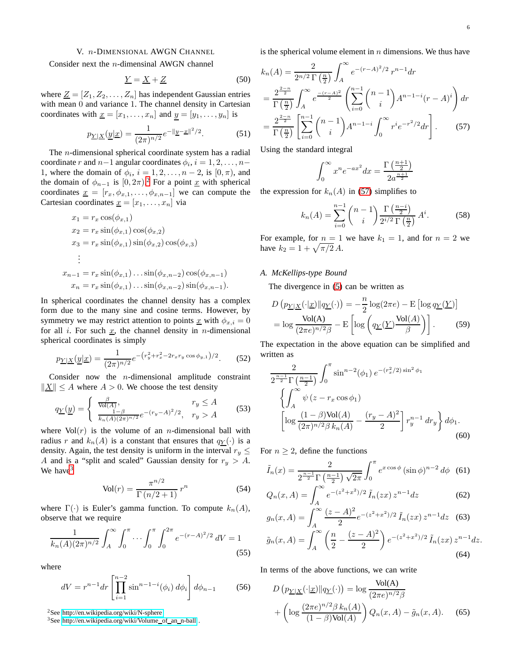# V. n-DIMENSIONAL AWGN CHANNEL

<span id="page-5-0"></span>Consider next the n-dimensinal AWGN channel

$$
\underline{Y} = \underline{X} + \underline{Z} \tag{50}
$$

where  $\underline{Z} = [Z_1, Z_2, \dots, Z_n]$  has independent Gaussian entries with mean 0 and variance 1. The channel density in Cartesian coordinates with  $\underline{x} = [x_1, \ldots, x_n]$  and  $y = [y_1, \ldots, y_n]$  is

$$
p_{\underline{Y}|\underline{X}}(\underline{y}|\underline{x}) = \frac{1}{(2\pi)^{n/2}} e^{-\|\underline{y} - \underline{x}\|^2/2}.
$$
 (51)

The n-dimensional spherical coordinate system has a radial coordinate r and  $n-1$  angular coordinates  $\phi_i$ ,  $i = 1, 2, ..., n-1$ 1, where the domain of  $\phi_i$ ,  $i = 1, 2, \ldots, n-2$ , is  $[0, \pi)$ , and the domain of  $\phi_{n-1}$  is  $[0, 2\pi)$  $[0, 2\pi)$  $[0, 2\pi)$ .<sup>2</sup> For a point <u>x</u> with spherical coordinates  $\underline{x} = [r_x, \phi_{x,1}, \dots, \phi_{x,n-1}]$  we can compute the Cartesian coordinates  $\underline{x} = [x_1, \dots, x_n]$  via

$$
x_1 = r_x \cos(\phi_{x,1})
$$
  
\n
$$
x_2 = r_x \sin(\phi_{x,1}) \cos(\phi_{x,2})
$$
  
\n
$$
x_3 = r_x \sin(\phi_{x,1}) \sin(\phi_{x,2}) \cos(\phi_{x,3})
$$
  
\n
$$
\vdots
$$
  
\n
$$
x_{n-1} = r_x \sin(\phi_{x,1}) \dots \sin(\phi_{x,n-2}) \cos(\phi_{x,n-1})
$$
  
\n
$$
x_n = r_x \sin(\phi_{x,1}) \dots \sin(\phi_{x,n-2}) \sin(\phi_{x,n-1})
$$

In spherical coordinates the channel density has a complex form due to the many sine and cosine terms. However, by symmetry we may restrict attention to points  $\underline{x}$  with  $\phi_{x,i} = 0$ for all i. For such  $x$ , the channel density in *n*-dimensional spherical coordinates is simply

$$
p_{\underline{Y}|\underline{X}}(\underline{y}|\underline{x}) = \frac{1}{(2\pi)^{n/2}} e^{-\left(r_y^2 + r_x^2 - 2r_x r_y \cos\phi_{y,1}\right)/2}.
$$
 (52)

Consider now the  $n$ -dimensional amplitude constraint  $\Vert X \Vert \leq A$  where  $A > 0$ . We choose the test density

$$
q_{\underline{Y}}(\underline{y}) = \begin{cases} \frac{\beta}{\text{Vol}(A)}, & r_y \le A\\ \frac{1-\beta}{k_n(A)(2\pi)^{n/2}} e^{-(r_y - A)^2/2}, & r_y > A \end{cases}
$$
(53)

where  $Vol(r)$  is the volume of an *n*-dimensional ball with radius r and  $k_n(A)$  is a constant that ensures that  $q_Y(\cdot)$  is a density. Again, the test density is uniform in the interval  $r_y \leq$ A and is a "split and scaled" Gaussian density for  $r_y > A$ . We have<sup>[3](#page-5-2)</sup>

$$
Vol(r) = \frac{\pi^{n/2}}{\Gamma(n/2 + 1)} r^n
$$
\n(54)

where  $\Gamma(\cdot)$  is Euler's gamma function. To compute  $k_n(A)$ , observe that we require

$$
\frac{1}{k_n(A)(2\pi)^{n/2}} \int_A^{\infty} \int_0^{\pi} \cdots \int_0^{\pi} \int_0^{2\pi} e^{-(r-A)^2/2} dV = 1
$$
\n(55)

where

$$
dV = r^{n-1} dr \left[ \prod_{i=1}^{n-2} \sin^{n-1-i}(\phi_i) d\phi_i \right] d\phi_{n-1}
$$
 (56)

<sup>2</sup>See [http://en.wikipedia.org/wiki/N-sphere.](http://en.wikipedia.org/wiki/N-sphere)

<span id="page-5-2"></span><span id="page-5-1"></span><sup>3</sup>See [http://en.wikipedia.org/wiki/Volume](http://en.wikipedia.org/wiki/Volume_of_an_n-ball)\_of\_an\_n-ball.

is the spherical volume element in  $n$  dimensions. We thus have

$$
k_n(A) = \frac{2}{2^{n/2} \Gamma(\frac{n}{2})} \int_A^{\infty} e^{-(r-A)^2/2} r^{n-1} dr
$$
  
=  $\frac{2^{\frac{2-n}{2}}}{\Gamma(\frac{n}{2})} \int_A^{\infty} e^{\frac{-(r-A)^2}{2}} \left( \sum_{i=0}^{n-1} {n-1 \choose i} A^{n-1-i} (r-A)^i \right) dr$   
=  $\frac{2^{\frac{2-n}{2}}}{\Gamma(\frac{n}{2})} \left[ \sum_{i=0}^{n-1} {n-1 \choose i} A^{n-1-i} \int_0^{\infty} r^i e^{-r^2/2} dr \right].$  (57)

Using the standard integral

 $\overline{1}$ 

<span id="page-5-3"></span>
$$
\int_0^\infty x^n e^{-ax^2} dx = \frac{\Gamma\left(\frac{n+1}{2}\right)}{2a^{\frac{n+1}{2}}}
$$

the expression for  $k_n(A)$  in [\(57\)](#page-5-3) simplifies to

$$
k_n(A) = \sum_{i=0}^{n-1} {n-1 \choose i} \frac{\Gamma\left(\frac{n-i}{2}\right)}{2^{i/2} \Gamma\left(\frac{n}{2}\right)} A^i.
$$
 (58)

For example, for  $n = 1$  we have  $k_1 = 1$ , and for  $n = 2$  we have  $k_2 = 1 + \sqrt{\pi/2} A$ .

# *A. McKellips-type Bound*

The divergence in [\(5\)](#page-0-1) can be written as

$$
D\left(p_{\underline{Y}|\underline{X}}(\cdot|\underline{x})\|q_{\underline{Y}}(\cdot)\right) = -\frac{n}{2}\log(2\pi e) - \mathrm{E}\left[\log q_{\underline{Y}}(\underline{Y})\right]
$$

$$
= \log \frac{\mathrm{Vol}(\mathbf{A})}{(2\pi e)^{n/2}\beta} - \mathrm{E}\left[\log \left(q_{\underline{Y}}(\underline{Y})\frac{\mathrm{Vol}(A)}{\beta}\right)\right].
$$
(59)

The expectation in the above equation can be simplified and written as

$$
\frac{2}{2^{\frac{n-1}{2}}\Gamma(\frac{n-1}{2})}\int_0^\pi \sin^{n-2}(\phi_1) e^{-(r_x^2/2)\sin^2\phi_1}
$$

$$
\left\{\int_A^\infty \psi\left(z - r_x\cos\phi_1\right)\right\} \left[\log\frac{(1-\beta)\text{Vol}(A)}{(2\pi)^{n/2}\beta k_n(A)} - \frac{(r_y - A)^2}{2}\right]r_y^{n-1} dr_y\right\} d\phi_1.
$$
(60)

For  $n \geq 2$ , define the functions

<span id="page-5-6"></span>
$$
\tilde{I}_n(x) = \frac{2}{2^{\frac{n-1}{2}} \Gamma\left(\frac{n-1}{2}\right) \sqrt{2\pi}} \int_0^{\pi} e^{x \cos \phi} \left(\sin \phi\right)^{n-2} d\phi \quad (61)
$$

<span id="page-5-8"></span><span id="page-5-7"></span>
$$
Q_n(x, A) = \int_A^{\infty} e^{-(z^2 + x^2)/2} \tilde{I}_n(zx) z^{n-1} dz
$$
 (62)

$$
g_n(x, A) = \int_A^{\infty} \frac{(z - A)^2}{2} e^{-(z^2 + x^2)/2} \tilde{I}_n(zx) z^{n-1} dz
$$
 (63)  

$$
\tilde{g}_n(x, A) = \int_A^{\infty} \left(\frac{n}{2} - \frac{(z - A)^2}{2}\right) e^{-(z^2 + x^2)/2} \tilde{I}_n(zx) z^{n-1} dz.
$$
 (64)

In terms of the above functions, we can write

<span id="page-5-5"></span><span id="page-5-4"></span>
$$
D\left(p_{\underline{Y}|\underline{X}}(\cdot|\underline{x})||q_{\underline{Y}}(\cdot)\right) = \log \frac{\text{Vol}(\underline{A})}{(2\pi e)^{n/2}\beta}
$$

$$
+ \left(\log \frac{(2\pi e)^{n/2}\beta k_n(\underline{A})}{(1-\beta)\text{Vol}(\underline{A})}\right) Q_n(x,\underline{A}) - \tilde{g}_n(x,\underline{A}). \tag{65}
$$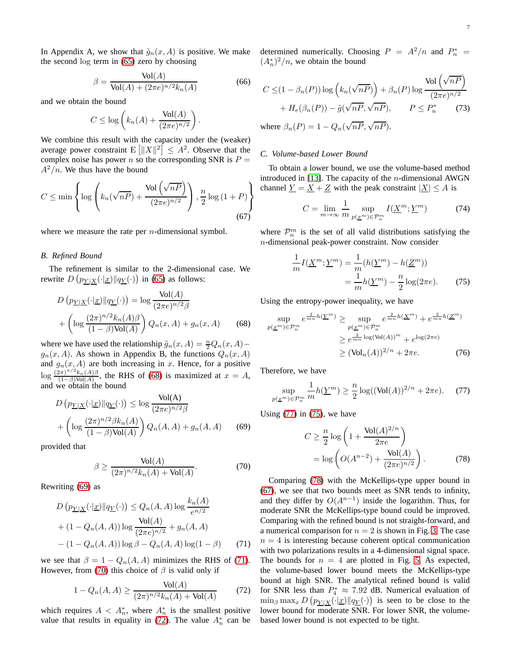In Appendix A, we show that  $\tilde{g}_n(x, A)$  is positive. We make the second log term in [\(65\)](#page-5-4) zero by choosing

$$
\beta = \frac{\text{Vol}(A)}{\text{Vol}(A) + (2\pi e)^{n/2} k_n(A)}\tag{66}
$$

and we obtain the bound

$$
C \leq \log \left( k_n(A) + \frac{\text{Vol}(A)}{(2\pi e)^{n/2}} \right).
$$

We combine this result with the capacity under the (weaker) average power constraint  $E\left[\|X\|^2\right] \leq A^2$ . Observe that the complex noise has power n so the corresponding SNR is  $P =$  $A^2/n$ . We thus have the bound

$$
C \le \min\left\{\log\left(k_n(\sqrt{nP}) + \frac{\text{Vol}\left(\sqrt{nP}\right)}{(2\pi e)^{n/2}}\right), \frac{n}{2}\log\left(1+P\right)\right\}
$$
\n(67)

where we measure the rate per  $n$ -dimensional symbol.

# *B. Refined Bound*

The refinement is similar to the 2-dimensional case. We rewrite  $D(p_{Y|X}(\cdot|x)||q_{Y}(\cdot))$  in [\(65\)](#page-5-4) as follows:

$$
D\left(p_{\underline{Y}|\underline{X}}(\cdot|\underline{x})||q_{\underline{Y}}(\cdot)\right) = \log \frac{\text{Vol}(A)}{(2\pi e)^{n/2}\beta}
$$

$$
+\left(\log \frac{(2\pi)^{n/2}k_n(A)\beta}{(1-\beta)\text{Vol}(A)}\right)Q_n(x,A) + g_n(x,A) \qquad (68)
$$

where we have used the relationship  $\tilde{g}_n(x, A) = \frac{n}{2} Q_n(x, A)$  $g_n(x, A)$ . As shown in Appendix B, the functions  $Q_n(x, A)$ and  $g_n(x, A)$  are both increasing in x. Hence, for a positive  $\log \frac{(2\pi)^{n/2}k_n(A)\beta}{(1-A)\text{Vol}(A)}$ , the RHS of [\(68\)](#page-6-0) is maximized at  $x = A$ ,  $(1-\beta)$ Vol $(A)$ and we obtain the bound

$$
D\left(p_{\underline{Y}|\underline{X}}(\cdot|\underline{x})\|q_{\underline{Y}}(\cdot)\right) \le \log \frac{\text{Vol}(\underline{A})}{(2\pi e)^{n/2}\beta}
$$

$$
+\left(\log \frac{(2\pi)^{n/2}\beta k_n(\underline{A})}{(1-\beta)\text{Vol}(\underline{A})}\right)Q_n(\underline{A},\underline{A}) + g_n(\underline{A},\underline{A})\tag{69}
$$

provided that

<span id="page-6-3"></span>
$$
\beta \ge \frac{\text{Vol}(A)}{(2\pi)^{n/2}k_n(A) + \text{Vol}(A)}.\tag{70}
$$

Rewriting [\(69\)](#page-6-1) as

$$
D(p_{\underline{Y}|\underline{X}}(\cdot|\underline{x})||q_{\underline{Y}}(\cdot)) \le Q_n(A, A) \log \frac{k_n(A)}{e^{n/2}}
$$
  
+  $(1 - Q_n(A, A)) \log \frac{\text{Vol}(A)}{(2\pi e)^{n/2}} + g_n(A, A)$   
-  $(1 - Q_n(A, A)) \log \beta - Q_n(A, A) \log(1 - \beta)$  (71)

we see that  $\beta = 1 - Q_n(A, A)$  minimizes the RHS of [\(71\)](#page-6-2). However, from [\(70\)](#page-6-3) this choice of  $\beta$  is valid only if

$$
1 - Q_n(A, A) \ge \frac{\text{Vol}(A)}{(2\pi)^{n/2}k_n(A) + \text{Vol}(A)}\tag{72}
$$

which requires  $A \leq A_n^*$ , where  $A_n^*$  is the smallest positive value that results in equality in [\(72\)](#page-6-4). The value  $A_n^*$  can be determined numerically. Choosing  $P = A^2/n$  and  $P_n^* =$  $(A_n^*)^2/n$ , we obtain the bound

<span id="page-6-9"></span>
$$
C \leq (1 - \beta_n(P)) \log \left( k_n(\sqrt{nP}) \right) + \beta_n(P) \log \frac{\text{Vol} \left( \sqrt{nP} \right)}{(2\pi e)^{n/2}} + H_e(\beta_n(P)) - \tilde{g}(\sqrt{nP}, \sqrt{nP}), \qquad P \leq P_n^* \tag{73}
$$
  
where  $\beta_n(P) = 1 - Q_n(\sqrt{nP}, \sqrt{nP}).$ 

## *C. Volume-based Lower Bound*

To obtain a lower bound, we use the volume-based method introduced in [\[13\]](#page-7-12). The capacity of the  $n$ -dimensional AWGN channel  $\underline{Y} = \underline{X} + \underline{Z}$  with the peak constraint  $|\underline{X}| \leq A$  is

$$
C = \lim_{m \to \infty} \frac{1}{m} \sup_{p(\underline{x}^m) \in \mathcal{P}_n^m} I(\underline{X}^m; \underline{Y}^m)
$$
(74)

<span id="page-6-8"></span>where  $\mathcal{P}_n^m$  is the set of all valid distributions satisfying the n-dimensional peak-power constraint. Now consider

<span id="page-6-6"></span>
$$
\frac{1}{m}I(\underline{X}^m; \underline{Y}^m) = \frac{1}{m}(h(\underline{Y}^m) - h(\underline{Z}^m))
$$

$$
= \frac{1}{m}h(\underline{Y}^m) - \frac{n}{2}\log(2\pi e).
$$
(75)

<span id="page-6-0"></span>Using the entropy-power inequality, we have

$$
\sup_{p(\underline{x}^m) \in \mathcal{P}_n^m} e^{\frac{2}{mn}h(\underline{Y}^m)} \ge \sup_{p(\underline{x}^m) \in \mathcal{P}_n^m} e^{\frac{2}{mn}h(\underline{X}^m)} + e^{\frac{2}{mn}h(\underline{Z}^m)}
$$

$$
\ge e^{\frac{2}{mn}\log(\text{Vol}(A))^m} + e^{\log(2\pi e)}
$$

$$
\ge (\text{Vol}_n(A))^{2/n} + 2\pi e. \tag{76}
$$

Therefore, we have

$$
\sup_{p(\underline{x}^m)\in\mathcal{P}_n^m} \frac{1}{m}h(\underline{Y}^m) \ge \frac{n}{2}\log((\text{Vol}(A))^{2/n} + 2\pi e). \tag{77}
$$

<span id="page-6-1"></span>Using  $(77)$  in  $(75)$ , we have

<span id="page-6-7"></span><span id="page-6-5"></span>
$$
C \ge \frac{n}{2} \log \left( 1 + \frac{\text{Vol}(A)^{2/n}}{2\pi e} \right)
$$
  
=  $\log \left( O(A^{n-2}) + \frac{\text{Vol}(A)}{(2\pi e)^{n/2}} \right)$ . (78)

<span id="page-6-4"></span><span id="page-6-2"></span>Comparing [\(78\)](#page-6-7) with the McKellips-type upper bound in [\(67\)](#page-6-8), we see that two bounds meet as SNR tends to infinity, and they differ by  $O(A^{n-1})$  inside the logarithm. Thus, for moderate SNR the McKellips-type bound could be improved. Comparing with the refined bound is not straight-forward, and a numerical comparison for  $n = 2$  is shown in Fig. [3.](#page-3-5) The case  $n = 4$  is interesting because coherent optical communication with two polarizations results in a 4-dimensional signal space. The bounds for  $n = 4$  are plotted in Fig. [5.](#page-7-13) As expected, the volume-based lower bound meets the McKellips-type bound at high SNR. The analytical refined bound is valid for SNR less than  $P_4^* \approx 7.92$  dB. Numerical evaluation of  $\min_{\beta} \max_{x} D(p_{Y|X}(\cdot | x) || q_{Y}(\cdot))$  is seen to be close to the lower bound for moderate SNR. For lower SNR, the volumebased lower bound is not expected to be tight.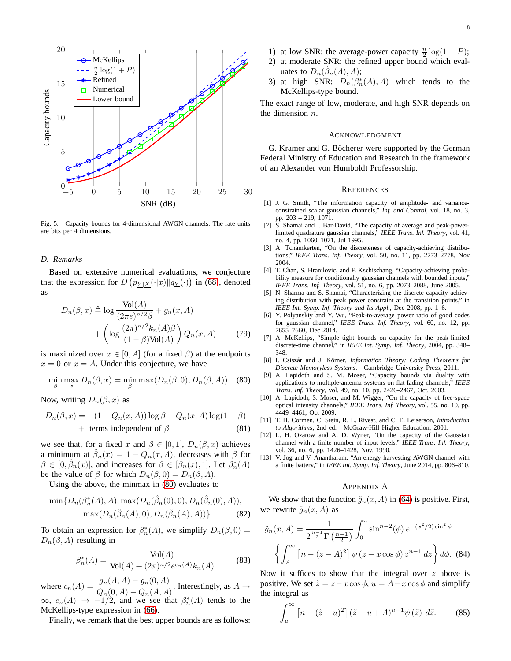

<span id="page-7-13"></span>Fig. 5. Capacity bounds for 4-dimensional AWGN channels. The rate units are bits per 4 dimensions.

## *D. Remarks*

Based on extensive numerical evaluations, we conjecture that the expression for  $D(p_{Y|X}(\cdot|x)||q_{Y}(\cdot))$  in [\(68\)](#page-6-0), denoted as

$$
D_n(\beta, x) \triangleq \log \frac{\text{Vol}(A)}{(2\pi e)^{n/2}\beta} + g_n(x, A)
$$

$$
+ \left(\log \frac{(2\pi)^{n/2}k_n(A)\beta}{(1-\beta)\text{Vol}(A)}\right)Q_n(x, A) \tag{79}
$$

is maximized over  $x \in [0, A]$  (for a fixed  $\beta$ ) at the endpoints  $x = 0$  or  $x = A$ . Under this conjecture, we have

<span id="page-7-14"></span>
$$
\min_{\beta} \max_{x} D_n(\beta, x) = \min_{\beta} \max(D_n(\beta, 0), D_n(\beta, A)).
$$
 (80)

Now, writing  $D_n(\beta, x)$  as

$$
D_n(\beta, x) = -(1 - Q_n(x, A)) \log \beta - Q_n(x, A) \log(1 - \beta)
$$
  
+ terms independent of  $\beta$  (81)

we see that, for a fixed x and  $\beta \in [0,1], D_n(\beta, x)$  achieves a minimum at  $\hat{\beta}_n(x) = 1 - Q_n(x, A)$ , decreases with  $\beta$  for  $\beta \in [0, \hat{\beta}_n(x)]$ , and increases for  $\beta \in [\hat{\beta}_n(x), 1]$ . Let  $\beta_n^*(A)$ be the value of  $\beta$  for which  $D_n(\beta, 0) = D_n(\beta, A)$ .

Using the above, the minmax in [\(80\)](#page-7-14) evaluates to

$$
\min\{D_n(\beta_n^*(A), A), \max(D_n(\hat{\beta}_n(0), 0), D_n(\hat{\beta}_n(0), A)),\max(D_n(\hat{\beta}_n(A), 0), D_n(\hat{\beta}_n(A), A))\}.
$$
 (82)

To obtain an expression for  $\beta_n^*(A)$ , we simplify  $D_n(\beta, 0) =$  $D_n(\beta, A)$  resulting in

$$
\beta_n^*(A) = \frac{\text{Vol}(A)}{\text{Vol}(A) + (2\pi)^{n/2} e^{c_n(A)} k_n(A)}\tag{83}
$$

where  $c_n(A) = \frac{g_n(A, A) - g_n(0, A)}{Q_n(A) - Q_n(A, A)}$  $Q_n(0, A) - Q_n(A, A)$ . Interestingly, as  $A \to Q_n(0, A) - Q_n(A, A)$ .  $\infty$ ,  $c_n(A) \rightarrow -1/2$ , and we see that  $\beta_n^*(A)$  tends to the McKellips-type expression in [\(66\)](#page-6-9).

Finally, we remark that the best upper bounds are as follows:

- 1) at low SNR: the average-power capacity  $\frac{n}{2} \log(1+P)$ ;
- 2) at moderate SNR: the refined upper bound which evaluates to  $D_n(\hat{\beta}_n(A), A);$
- 3) at high SNR:  $D_n(\beta_n^*(A), A)$  which tends to the McKellips-type bound.

The exact range of low, moderate, and high SNR depends on the dimension n.

## ACKNOWLEDGMENT

G. Kramer and G. Böcherer were supported by the German Federal Ministry of Education and Research in the framework of an Alexander von Humboldt Professorship.

## **REFERENCES**

- <span id="page-7-0"></span>[1] J. G. Smith, "The information capacity of amplitude- and varianceconstrained scalar gaussian channels," *Inf. and Control*, vol. 18, no. 3, pp. 203 – 219, 1971.
- <span id="page-7-1"></span>[2] S. Shamai and I. Bar-David, "The capacity of average and peak-powerlimited quadrature gaussian channels," *IEEE Trans. Inf. Theory*, vol. 41, no. 4, pp. 1060–1071, Jul 1995.
- <span id="page-7-2"></span>[3] A. Tchamkerten, "On the discreteness of capacity-achieving distributions," *IEEE Trans. Inf. Theory*, vol. 50, no. 11, pp. 2773–2778, Nov 2004.
- <span id="page-7-3"></span>[4] T. Chan, S. Hranilovic, and F. Kschischang, "Capacity-achieving probability measure for conditionally gaussian channels with bounded inputs,' *IEEE Trans. Inf. Theory*, vol. 51, no. 6, pp. 2073–2088, June 2005.
- <span id="page-7-4"></span>[5] N. Sharma and S. Shamai, "Characterizing the discrete capacity achieving distribution with peak power constraint at the transition points," in *IEEE Int. Symp. Inf. Theory and Its Appl.*, Dec 2008, pp. 1–6.
- <span id="page-7-5"></span>[6] Y. Polyanskiy and Y. Wu, "Peak-to-average power ratio of good codes for gaussian channel," *IEEE Trans. Inf. Theory*, vol. 60, no. 12, pp. 7655–7660, Dec 2014.
- <span id="page-7-6"></span>[7] A. McKellips, "Simple tight bounds on capacity for the peak-limited discrete-time channel," in *IEEE Int. Symp. Inf. Theory*, 2004, pp. 348– 348.
- <span id="page-7-7"></span>[8] I. Csiszár and J. Körner, *Information Theory: Coding Theorems for Discrete Memoryless Systems*. Cambridge University Press, 2011.
- <span id="page-7-8"></span>[9] A. Lapidoth and S. M. Moser, "Capacity bounds via duality with applications to multiple-antenna systems on flat fading channels," *IEEE Trans. Inf. Theory*, vol. 49, no. 10, pp. 2426–2467, Oct. 2003.
- <span id="page-7-9"></span>[10] A. Lapidoth, S. Moser, and M. Wigger, "On the capacity of free-space optical intensity channels," *IEEE Trans. Inf. Theory*, vol. 55, no. 10, pp. 4449–4461, Oct 2009.
- <span id="page-7-10"></span>[11] T. H. Cormen, C. Stein, R. L. Rivest, and C. E. Leiserson, *Introduction to Algorithms*, 2nd ed. McGraw-Hill Higher Education, 2001.
- <span id="page-7-11"></span>[12] L. H. Ozarow and A. D. Wyner, "On the capacity of the Gaussian channel with a finite number of input levels," *IEEE Trans. Inf. Theory*, vol. 36, no. 6, pp. 1426–1428, Nov. 1990.
- <span id="page-7-12"></span>[13] V. Jog and V. Anantharam, "An energy harvesting AWGN channel with a finite battery," in *IEEE Int. Symp. Inf. Theory*, June 2014, pp. 806–810.

## <span id="page-7-15"></span>APPENDIX A

We show that the function  $\tilde{g}_n(x, A)$  in [\(64\)](#page-5-5) is positive. First, we rewrite  $\tilde{g}_n(x, A)$  as

$$
\tilde{g}_n(x, A) = \frac{1}{2^{\frac{n-1}{2}} \Gamma(\frac{n-1}{2})} \int_0^{\pi} \sin^{n-2}(\phi) e^{-(x^2/2)\sin^2\phi}
$$

$$
\left\{ \int_A^{\infty} \left[ n - (z - A)^2 \right] \psi(z - x\cos\phi) z^{n-1} dz \right\} d\phi. (84)
$$

Now it suffices to show that the integral over  $z$  above is positive. We set  $\tilde{z} = z - x \cos \phi$ ,  $u = A - x \cos \phi$  and simplify the integral as

$$
\int_{u}^{\infty} \left[ n - (\tilde{z} - u)^2 \right] (\tilde{z} - u + A)^{n-1} \psi(\tilde{z}) \ d\tilde{z}.
$$
 (85)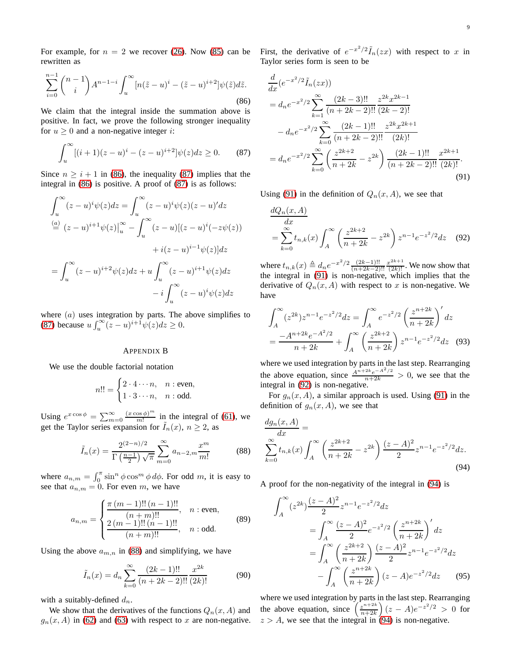For example, for  $n = 2$  we recover [\(26\)](#page-2-3). Now [\(85\)](#page-7-15) can be rewritten as

<span id="page-8-0"></span>
$$
\sum_{i=0}^{n-1} {n-1 \choose i} A^{n-1-i} \int_u^{\infty} [n(\tilde{z} - u)^i - (\tilde{z} - u)^{i+2}] \psi(\tilde{z}) d\tilde{z}.
$$
\n(86)

We claim that the integral inside the summation above is positive. In fact, we prove the following stronger inequality for  $u \geq 0$  and a non-negative integer *i*:

<span id="page-8-1"></span>
$$
\int_{u}^{\infty} [(i+1)(z-u)^{i} - (z-u)^{i+2}] \psi(z) dz \ge 0.
$$
 (87)

Since  $n \geq i + 1$  in [\(86\)](#page-8-0), the inequality [\(87\)](#page-8-1) implies that the integral in [\(86\)](#page-8-0) is positive. A proof of [\(87\)](#page-8-1) is as follows:

$$
\int_{u}^{\infty} (z - u)^{i} \psi(z) dz = \int_{u}^{\infty} (z - u)^{i} \psi(z) (z - u)^{i} dz
$$

$$
\stackrel{(a)}{=} (z - u)^{i+1} \psi(z) \Big|_{u}^{\infty} - \int_{u}^{\infty} (z - u)[(z - u)^{i}(-z\psi(z))
$$

$$
+ i(z - u)^{i-1} \psi(z) dz
$$

$$
= \int_{u}^{\infty} (z - u)^{i+2} \psi(z) dz + u \int_{u}^{\infty} (z - u)^{i+1} \psi(z) dz
$$

$$
- i \int_{u}^{\infty} (z - u)^{i} \psi(z) dz
$$

where  $(a)$  uses integration by parts. The above simplifies to [\(87\)](#page-8-1) because  $u \int_{u}^{\infty} (z - u)^{i+1} \psi(z) dz \ge 0$ .

## APPENDIX B

We use the double factorial notation

$$
n!! = \begin{cases} 2 \cdot 4 \cdots n, & n : \text{even,} \\ 1 \cdot 3 \cdots n, & n : \text{odd.} \end{cases}
$$

Using  $e^{x \cos \phi} = \sum_{m=0}^{\infty} \frac{(x \cos \phi)^m}{m!}$  $\frac{\cos \varphi}{m!}$  in the integral of [\(61\)](#page-5-6), we get the Taylor series expansion for  $I_n(x)$ ,  $n \geq 2$ , as

<span id="page-8-2"></span>
$$
\tilde{I}_n(x) = \frac{2^{(2-n)/2}}{\Gamma\left(\frac{n-1}{2}\right)\sqrt{\pi}} \sum_{m=0}^{\infty} a_{n-2,m} \frac{x^m}{m!}
$$
 (88)

where  $a_{n,m} = \int_0^{\pi} \sin^n \phi \cos^m \phi \, d\phi$ . For odd m, it is easy to see that  $a_{n,m} = 0$ . For even m, we have

$$
a_{n,m} = \begin{cases} \frac{\pi (m-1)!! (n-1)!!}{(n+m)!!}, & n : \text{even}, \\ \frac{2 (m-1)!! (n-1)!!}{(n+m)!!}, & n : \text{odd}. \end{cases}
$$
(89)

Using the above  $a_{m,n}$  in [\(88\)](#page-8-2) and simplifying, we have

$$
\tilde{I}_n(x) = d_n \sum_{k=0}^{\infty} \frac{(2k-1)!!}{(n+2k-2)!!} \frac{x^{2k}}{(2k)!}
$$
 (90)

with a suitably-defined  $d_n$ .

We show that the derivatives of the functions  $Q_n(x, A)$  and  $g_n(x, A)$  in [\(62\)](#page-5-7) and [\(63\)](#page-5-8) with respect to x are non-negative.

First, the derivative of  $e^{-x^2/2} \tilde{I}_n(zx)$  with respect to x in Taylor series form is seen to be

$$
\frac{d}{dx}(e^{-x^2/2}\tilde{I}_n(zx))
$$
\n
$$
= d_n e^{-x^2/2} \sum_{k=1}^{\infty} \frac{(2k-3)!!}{(n+2k-2)!!} \frac{z^{2k}x^{2k-1}}{(2k-2)!}
$$
\n
$$
- d_n e^{-x^2/2} \sum_{k=0}^{\infty} \frac{(2k-1)!!}{(n+2k-2)!!} \frac{z^{2k}x^{2k+1}}{(2k)!}
$$
\n
$$
= d_n e^{-x^2/2} \sum_{k=0}^{\infty} \left(\frac{z^{2k+2}}{n+2k} - z^{2k}\right) \frac{(2k-1)!!}{(n+2k-2)!!} \frac{x^{2k+1}}{(2k)!}.
$$
\n(91)

Using [\(91\)](#page-8-3) in the definition of  $Q_n(x, A)$ , we see that

<span id="page-8-4"></span><span id="page-8-3"></span>
$$
\frac{dQ_n(x,A)}{dx} = \sum_{k=0}^{\infty} t_{n,k}(x) \int_A^{\infty} \left(\frac{z^{2k+2}}{n+2k} - z^{2k}\right) z^{n-1} e^{-z^2/2} dz \quad (92)
$$

where  $t_{n,k}(x) \triangleq d_n e^{-x^2/2} \frac{(2k-1)!!}{(n+2k-2)!}$  $\frac{(2k-1)!!}{(n+2k-2)!!} \frac{x^{2k+1}}{(2k)!}$ . We now show that the integral in [\(91\)](#page-8-3) is non-negative, which implies that the derivative of  $Q_n(x, A)$  with respect to x is non-negative. We have

$$
\int_{A}^{\infty} (z^{2k}) z^{n-1} e^{-z^2/2} dz = \int_{A}^{\infty} e^{-z^2/2} \left(\frac{z^{n+2k}}{n+2k}\right)' dz
$$

$$
= \frac{-A^{n+2k} e^{-A^2/2}}{n+2k} + \int_{A}^{\infty} \left(\frac{z^{2k+2}}{n+2k}\right) z^{n-1} e^{-z^2/2} dz \quad (93)
$$

where we used integration by parts in the last step. Rearranging the above equation, since  $\frac{A^{n+2k}e^{-A^2/2}}{n+2k} > 0$ , we see that the integral in [\(92\)](#page-8-4) is non-negative.

For  $g_n(x, A)$ , a similar approach is used. Using [\(91\)](#page-8-3) in the definition of  $g_n(x, A)$ , we see that

$$
\frac{dg_n(x,A)}{dx} = \sum_{k=0}^{\infty} t_{n,k}(x) \int_A^{\infty} \left(\frac{z^{2k+2}}{n+2k} - z^{2k}\right) \frac{(z-A)^2}{2} z^{n-1} e^{-z^2/2} dz.
$$
\n(94)

A proof for the non-negativity of the integral in [\(94\)](#page-8-5) is

<span id="page-8-5"></span>
$$
\int_{A}^{\infty} (z^{2k}) \frac{(z-A)^2}{2} z^{n-1} e^{-z^2/2} dz
$$
  
= 
$$
\int_{A}^{\infty} \frac{(z-A)^2}{2} e^{-z^2/2} \left(\frac{z^{n+2k}}{n+2k}\right)' dz
$$
  
= 
$$
\int_{A}^{\infty} \left(\frac{z^{2k+2}}{n+2k}\right) \frac{(z-A)^2}{2} z^{n-1} e^{-z^2/2} dz
$$
  
- 
$$
\int_{A}^{\infty} \left(\frac{z^{n+2k}}{n+2k}\right) (z-A) e^{-z^2/2} dz
$$
(95)

where we used integration by parts in the last step. Rearranging the above equation, since  $\left(\frac{z^{n+2k}}{n+2k}\right)$  $\frac{z^{n+2k}}{n+2k}$   $(z - A)e^{-z^2/2} > 0$  for  $z > A$ , we see that the integral in [\(94\)](#page-8-5) is non-negative.